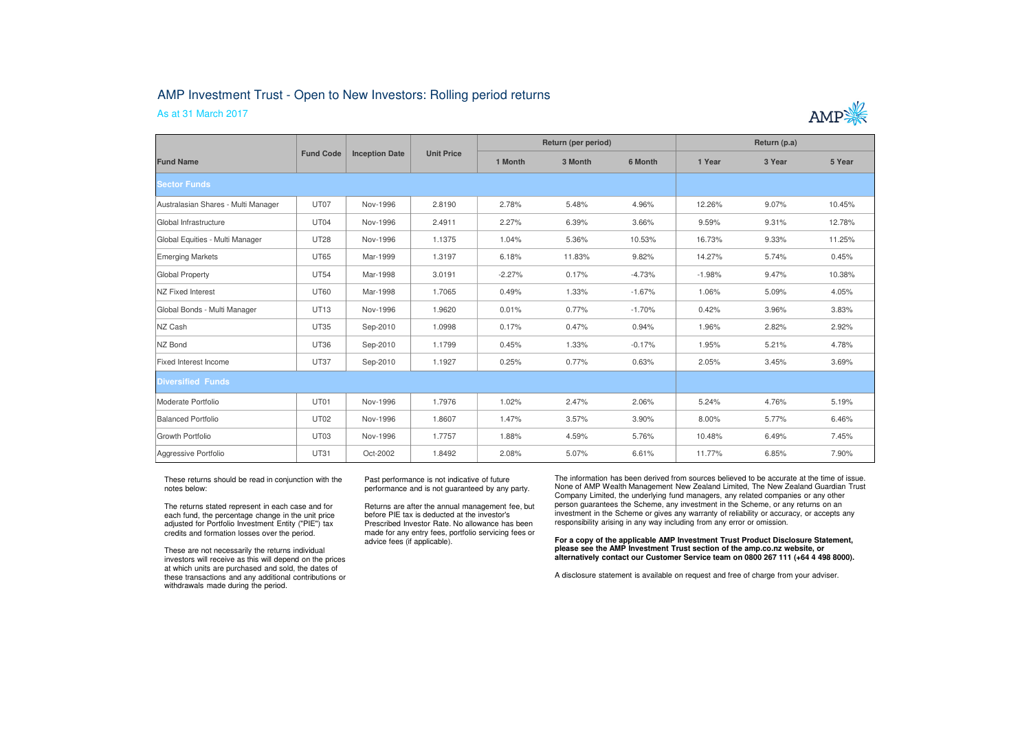## AMP Investment Trust - Open to New Investors: Rolling period returns

## As at 31 March 2017



| <b>Fund Name</b>                    | <b>Fund Code</b> | <b>Inception Date</b> | <b>Unit Price</b> | Return (per period) |         |          | Return (p.a) |        |        |
|-------------------------------------|------------------|-----------------------|-------------------|---------------------|---------|----------|--------------|--------|--------|
|                                     |                  |                       |                   | 1 Month             | 3 Month | 6 Month  | 1 Year       | 3 Year | 5 Year |
| <b>Sector Funds</b>                 |                  |                       |                   |                     |         |          |              |        |        |
| Australasian Shares - Multi Manager | UT07             | Nov-1996              | 2.8190            | 2.78%               | 5.48%   | 4.96%    | 12.26%       | 9.07%  | 10.45% |
| Global Infrastructure               | UT04             | Nov-1996              | 2.4911            | 2.27%               | 6.39%   | 3.66%    | 9.59%        | 9.31%  | 12.78% |
| Global Equities - Multi Manager     | <b>UT28</b>      | Nov-1996              | 1.1375            | 1.04%               | 5.36%   | 10.53%   | 16.73%       | 9.33%  | 11.25% |
| Emerging Markets                    | <b>UT65</b>      | Mar-1999              | 1.3197            | 6.18%               | 11.83%  | 9.82%    | 14.27%       | 5.74%  | 0.45%  |
| Global Property                     | <b>UT54</b>      | Mar-1998              | 3.0191            | $-2.27%$            | 0.17%   | $-4.73%$ | $-1.98%$     | 9.47%  | 10.38% |
| <b>NZ Fixed Interest</b>            | <b>UT60</b>      | Mar-1998              | 1.7065            | 0.49%               | 1.33%   | $-1.67%$ | 1.06%        | 5.09%  | 4.05%  |
| Global Bonds - Multi Manager        | UT13             | Nov-1996              | 1.9620            | 0.01%               | 0.77%   | $-1.70%$ | 0.42%        | 3.96%  | 3.83%  |
| NZ Cash                             | <b>UT35</b>      | Sep-2010              | 1.0998            | 0.17%               | 0.47%   | 0.94%    | 1.96%        | 2.82%  | 2.92%  |
| NZ Bond                             | <b>UT36</b>      | Sep-2010              | 1.1799            | 0.45%               | 1.33%   | $-0.17%$ | 1.95%        | 5.21%  | 4.78%  |
| Fixed Interest Income               | <b>UT37</b>      | Sep-2010              | 1.1927            | 0.25%               | 0.77%   | 0.63%    | 2.05%        | 3.45%  | 3.69%  |
| <b>Diversified Funds</b>            |                  |                       |                   |                     |         |          |              |        |        |
| Moderate Portfolio                  | UT01             | Nov-1996              | 1.7976            | 1.02%               | 2.47%   | 2.06%    | 5.24%        | 4.76%  | 5.19%  |
| Balanced Portfolio                  | <b>UT02</b>      | Nov-1996              | 1.8607            | 1.47%               | 3.57%   | 3.90%    | 8.00%        | 5.77%  | 6.46%  |
| Growth Portfolio                    | UT03             | Nov-1996              | 1.7757            | 1.88%               | 4.59%   | 5.76%    | 10.48%       | 6.49%  | 7.45%  |
| Aggressive Portfolio                | <b>UT31</b>      | Oct-2002              | 1.8492            | 2.08%               | 5.07%   | 6.61%    | 11.77%       | 6.85%  | 7.90%  |

These returns should be read in conjunction with the notes below:

The returns stated represent in each case and for each fund, the percentage change in the unit price adjusted for Portfolio Investment Entity ("PIE") tax credits and formation losses over the period.

These are not necessarily the returns individual investors will receive as this will depend on the prices at which units are purchased and sold, the dates of these transactions and any additional contributions or withdrawals made during the period.

Past performance is not indicative of future performance and is not guaranteed by any party.

Returns are after the annual management fee, but before PIE tax is deducted at the investor's Prescribed Investor Rate. No allowance has been made for any entry fees, portfolio servicing fees or advice fees (if applicable).

The information has been derived from sources believed to be accurate at the time of issue. None of AMP Wealth Management New Zealand Limited, The New Zealand Guardian Trust Company Limited, the underlying fund managers, any related companies or any other person guarantees the Scheme, any investment in the Scheme, or any returns on an investment in the Scheme or gives any warranty of reliability or accuracy, or accepts any responsibility arising in any way including from any error or omission.

**For a copy of the applicable AMP Investment Trust Product Disclosure Statement, please see the AMP Investment Trust section of the amp.co.nz website, or alternatively contact our Customer Service team on 0800 267 111 (+64 4 498 8000).**

A disclosure statement is available on request and free of charge from your adviser.